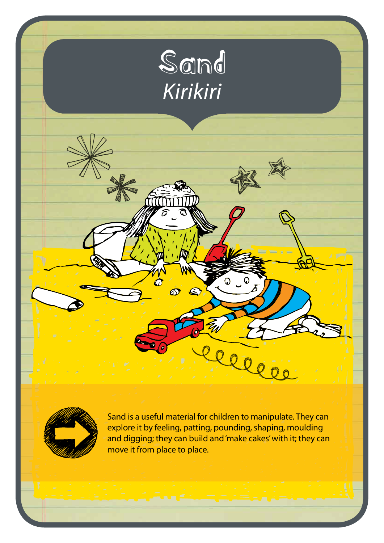



Sand is a useful material for children to manipulate. They can explore it by feeling, patting, pounding, shaping, moulding and digging; they can build and 'make cakes' with it; they can move it from place to place.